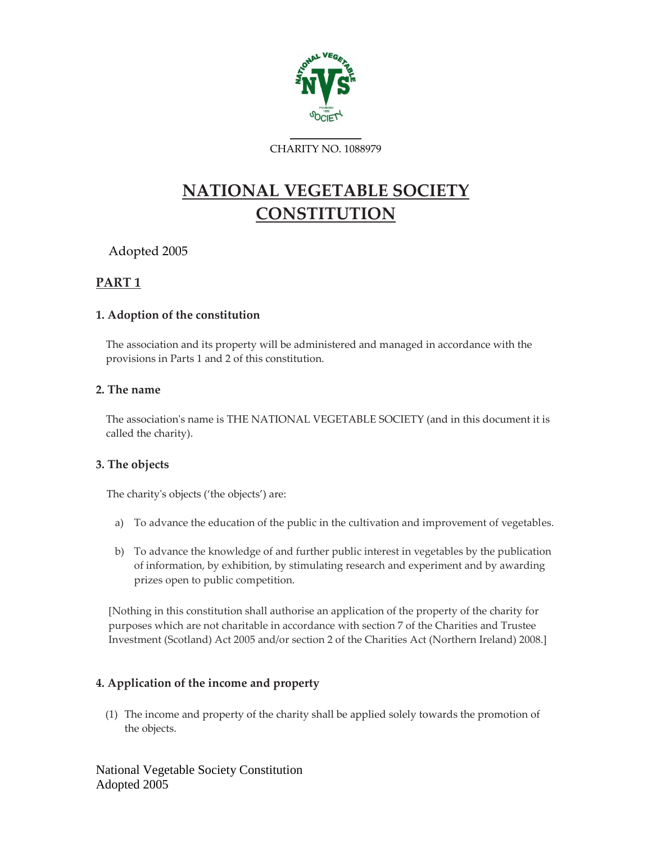

CHARITY NO. 1088979

# **NATIONAL VEGETABLE SOCIETY CONSTITUTION**

Adopted 2005

# **PART 1**

# **1. Adoption of the constitution**

The association and its property will be administered and managed in accordance with the provisions in Parts 1 and 2 of this constitution.

# **2. The name**

The association's name is THE NATIONAL VEGETABLE SOCIETY (and in this document it is called the charity).

# **3. The objects**

The charity's objects ('the objects') are:

- a) To advance the education of the public in the cultivation and improvement of vegetables.
- b) To advance the knowledge of and further public interest in vegetables by the publication of information, by exhibition, by stimulating research and experiment and by awarding prizes open to public competition.

[Nothing in this constitution shall authorise an application of the property of the charity for purposes which are not charitable in accordance with section 7 of the Charities and Trustee Investment (Scotland) Act 2005 and/or section 2 of the Charities Act (Northern Ireland) 2008.]

# **4. Application of the income and property**

(1) The income and property of the charity shall be applied solely towards the promotion of the objects.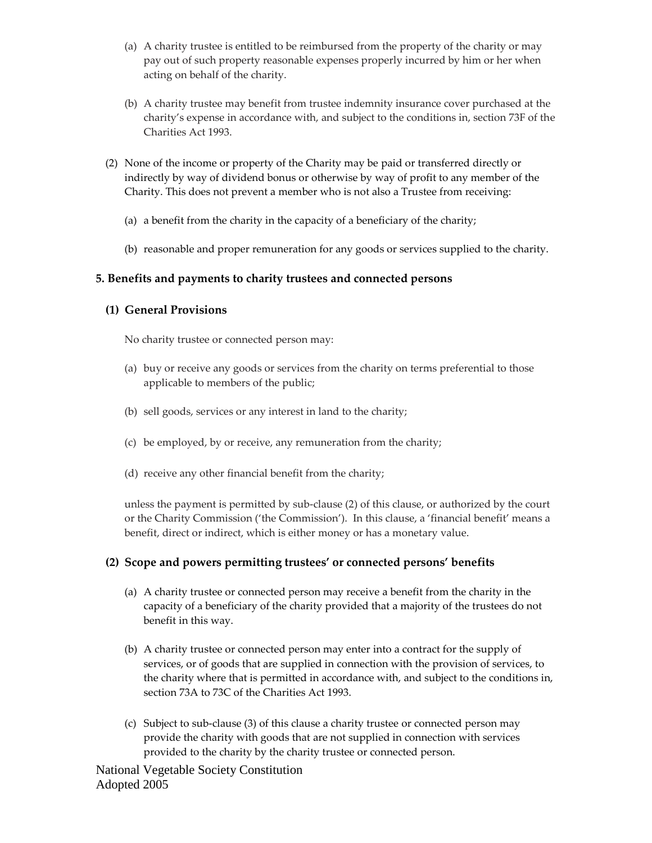- (a) A charity trustee is entitled to be reimbursed from the property of the charity or may pay out of such property reasonable expenses properly incurred by him or her when acting on behalf of the charity.
- (b) A charity trustee may benefit from trustee indemnity insurance cover purchased at the charity's expense in accordance with, and subject to the conditions in, section 73F of the Charities Act 1993.
- (2) None of the income or property of the Charity may be paid or transferred directly or indirectly by way of dividend bonus or otherwise by way of profit to any member of the Charity. This does not prevent a member who is not also a Trustee from receiving:
	- (a) a benefit from the charity in the capacity of a beneficiary of the charity;
	- (b) reasonable and proper remuneration for any goods or services supplied to the charity.

#### **5. Benefits and payments to charity trustees and connected persons**

#### **(1) General Provisions**

No charity trustee or connected person may:

- (a) buy or receive any goods or services from the charity on terms preferential to those applicable to members of the public;
- (b) sell goods, services or any interest in land to the charity;
- (c) be employed, by or receive, any remuneration from the charity;
- (d) receive any other financial benefit from the charity;

unless the payment is permitted by sub-clause (2) of this clause, or authorized by the court or the Charity Commission ('the Commission'). In this clause, a 'financial benefit' means a benefit, direct or indirect, which is either money or has a monetary value.

#### **(2) Scope and powers permitting trustees' or connected persons' benefits**

- (a) A charity trustee or connected person may receive a benefit from the charity in the capacity of a beneficiary of the charity provided that a majority of the trustees do not benefit in this way.
- (b) A charity trustee or connected person may enter into a contract for the supply of services, or of goods that are supplied in connection with the provision of services, to the charity where that is permitted in accordance with, and subject to the conditions in, section 73A to 73C of the Charities Act 1993.
- (c) Subject to sub-clause (3) of this clause a charity trustee or connected person may provide the charity with goods that are not supplied in connection with services provided to the charity by the charity trustee or connected person.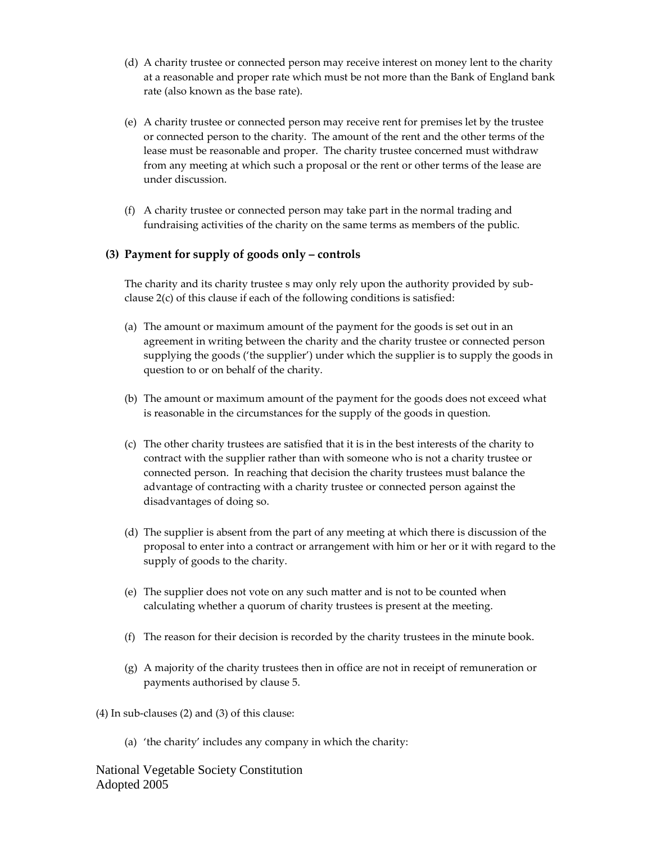- (d) A charity trustee or connected person may receive interest on money lent to the charity at a reasonable and proper rate which must be not more than the Bank of England bank rate (also known as the base rate).
- (e) A charity trustee or connected person may receive rent for premises let by the trustee or connected person to the charity. The amount of the rent and the other terms of the lease must be reasonable and proper. The charity trustee concerned must withdraw from any meeting at which such a proposal or the rent or other terms of the lease are under discussion.
- (f) A charity trustee or connected person may take part in the normal trading and fundraising activities of the charity on the same terms as members of the public.

## **(3) Payment for supply of goods only – controls**

The charity and its charity trustee s may only rely upon the authority provided by subclause 2(c) of this clause if each of the following conditions is satisfied:

- (a) The amount or maximum amount of the payment for the goods is set out in an agreement in writing between the charity and the charity trustee or connected person supplying the goods ('the supplier') under which the supplier is to supply the goods in question to or on behalf of the charity.
- (b) The amount or maximum amount of the payment for the goods does not exceed what is reasonable in the circumstances for the supply of the goods in question.
- (c) The other charity trustees are satisfied that it is in the best interests of the charity to contract with the supplier rather than with someone who is not a charity trustee or connected person. In reaching that decision the charity trustees must balance the advantage of contracting with a charity trustee or connected person against the disadvantages of doing so.
- (d) The supplier is absent from the part of any meeting at which there is discussion of the proposal to enter into a contract or arrangement with him or her or it with regard to the supply of goods to the charity.
- (e) The supplier does not vote on any such matter and is not to be counted when calculating whether a quorum of charity trustees is present at the meeting.
- (f) The reason for their decision is recorded by the charity trustees in the minute book.
- (g) A majority of the charity trustees then in office are not in receipt of remuneration or payments authorised by clause 5.
- (4) In sub-clauses (2) and (3) of this clause:
	- (a) 'the charity' includes any company in which the charity: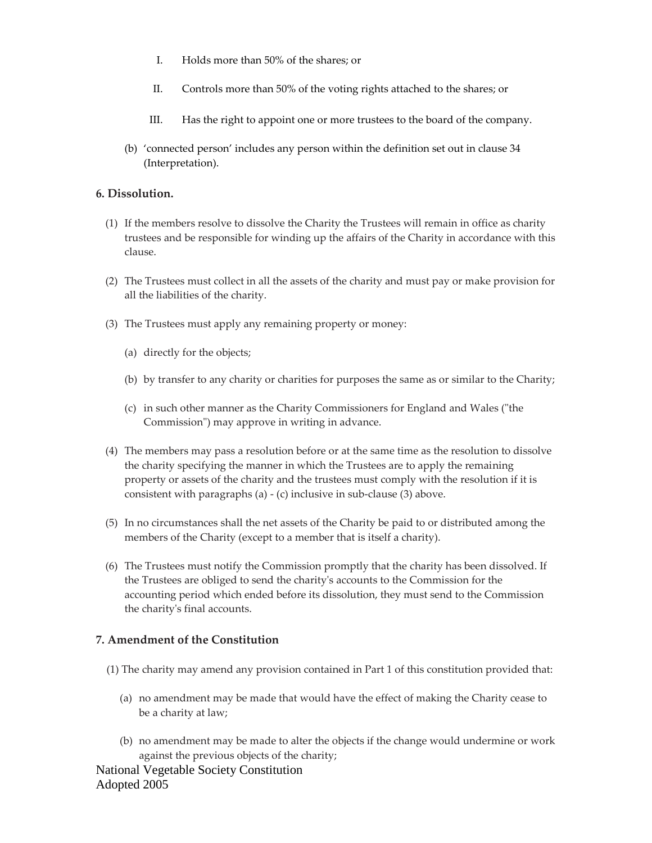- I. Holds more than 50% of the shares; or
- II. Controls more than 50% of the voting rights attached to the shares; or
- III. Has the right to appoint one or more trustees to the board of the company.
- (b) 'connected person' includes any person within the definition set out in clause 34 (Interpretation).

#### **6. Dissolution.**

- (1) If the members resolve to dissolve the Charity the Trustees will remain in office as charity trustees and be responsible for winding up the affairs of the Charity in accordance with this clause.
- (2) The Trustees must collect in all the assets of the charity and must pay or make provision for all the liabilities of the charity.
- (3) The Trustees must apply any remaining property or money:
	- (a) directly for the objects;
	- (b) by transfer to any charity or charities for purposes the same as or similar to the Charity;
	- (c) in such other manner as the Charity Commissioners for England and Wales ("the Commission") may approve in writing in advance.
- (4) The members may pass a resolution before or at the same time as the resolution to dissolve the charity specifying the manner in which the Trustees are to apply the remaining property or assets of the charity and the trustees must comply with the resolution if it is consistent with paragraphs (a) - (c) inclusive in sub-clause (3) above.
- (5) In no circumstances shall the net assets of the Charity be paid to or distributed among the members of the Charity (except to a member that is itself a charity).
- (6) The Trustees must notify the Commission promptly that the charity has been dissolved. If the Trustees are obliged to send the charity's accounts to the Commission for the accounting period which ended before its dissolution, they must send to the Commission the charity's final accounts.

## **7. Amendment of the Constitution**

- (1) The charity may amend any provision contained in Part 1 of this constitution provided that:
	- (a) no amendment may be made that would have the effect of making the Charity cease to be a charity at law;
	- (b) no amendment may be made to alter the objects if the change would undermine or work against the previous objects of the charity;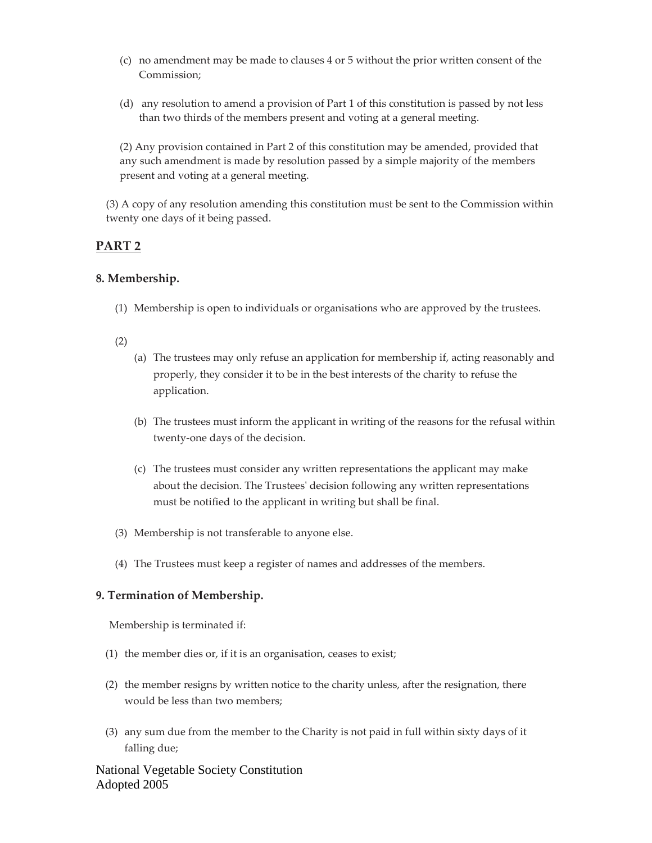- (c) no amendment may be made to clauses 4 or 5 without the prior written consent of the Commission;
- (d) any resolution to amend a provision of Part 1 of this constitution is passed by not less than two thirds of the members present and voting at a general meeting.

(2) Any provision contained in Part 2 of this constitution may be amended, provided that any such amendment is made by resolution passed by a simple majority of the members present and voting at a general meeting.

(3) A copy of any resolution amending this constitution must be sent to the Commission within twenty one days of it being passed.

# **PART 2**

## **8. Membership.**

(1) Membership is open to individuals or organisations who are approved by the trustees.

#### (2)

- (a) The trustees may only refuse an application for membership if, acting reasonably and properly, they consider it to be in the best interests of the charity to refuse the application.
- (b) The trustees must inform the applicant in writing of the reasons for the refusal within twenty-one days of the decision.
- (c) The trustees must consider any written representations the applicant may make about the decision. The Trustees' decision following any written representations must be notified to the applicant in writing but shall be final.
- (3) Membership is not transferable to anyone else.
- (4) The Trustees must keep a register of names and addresses of the members.

#### **9. Termination of Membership.**

Membership is terminated if:

- (1) the member dies or, if it is an organisation, ceases to exist;
- (2) the member resigns by written notice to the charity unless, after the resignation, there would be less than two members;
- (3) any sum due from the member to the Charity is not paid in full within sixty days of it falling due;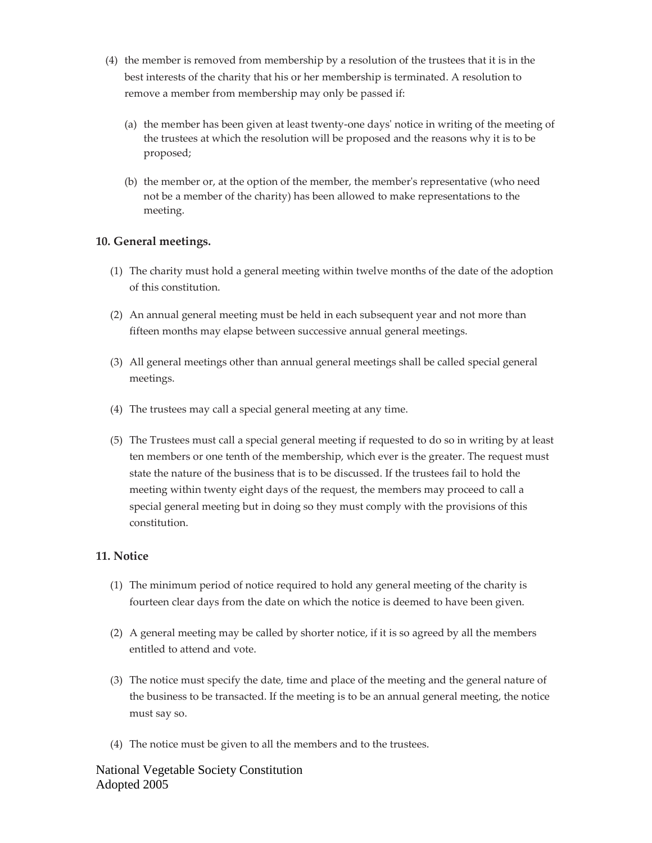- (4) the member is removed from membership by a resolution of the trustees that it is in the best interests of the charity that his or her membership is terminated. A resolution to remove a member from membership may only be passed if:
	- (a) the member has been given at least twenty-one days' notice in writing of the meeting of the trustees at which the resolution will be proposed and the reasons why it is to be proposed;
	- (b) the member or, at the option of the member, the member's representative (who need not be a member of the charity) has been allowed to make representations to the meeting.

## **10. General meetings.**

- (1) The charity must hold a general meeting within twelve months of the date of the adoption of this constitution.
- (2) An annual general meeting must be held in each subsequent year and not more than fifteen months may elapse between successive annual general meetings.
- (3) All general meetings other than annual general meetings shall be called special general meetings.
- (4) The trustees may call a special general meeting at any time.
- (5) The Trustees must call a special general meeting if requested to do so in writing by at least ten members or one tenth of the membership, which ever is the greater. The request must state the nature of the business that is to be discussed. If the trustees fail to hold the meeting within twenty eight days of the request, the members may proceed to call a special general meeting but in doing so they must comply with the provisions of this constitution.

## **11. Notice**

- (1) The minimum period of notice required to hold any general meeting of the charity is fourteen clear days from the date on which the notice is deemed to have been given.
- (2) A general meeting may be called by shorter notice, if it is so agreed by all the members entitled to attend and vote.
- (3) The notice must specify the date, time and place of the meeting and the general nature of the business to be transacted. If the meeting is to be an annual general meeting, the notice must say so.
- (4) The notice must be given to all the members and to the trustees.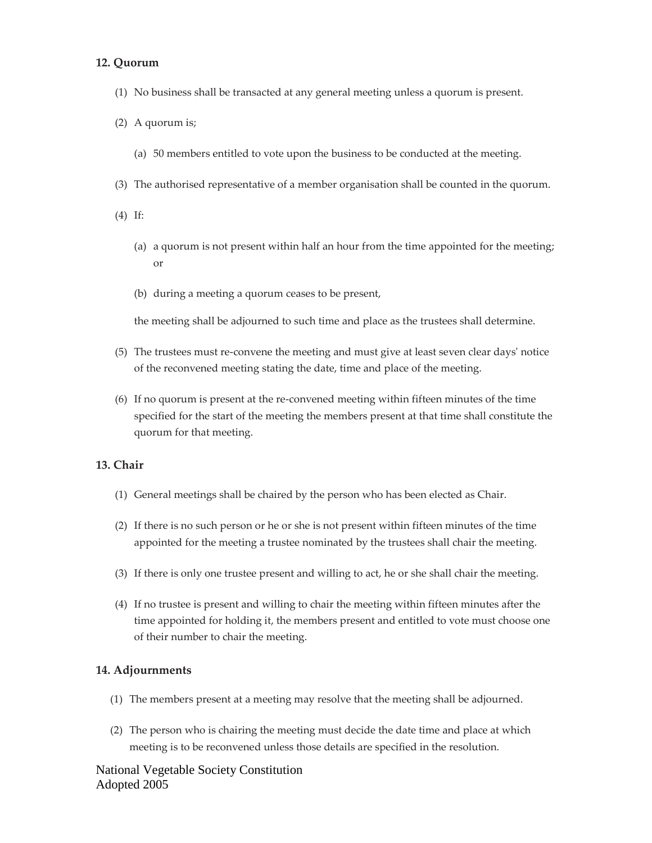#### **12. Quorum**

- (1) No business shall be transacted at any general meeting unless a quorum is present.
- (2) A quorum is;
	- (a) 50 members entitled to vote upon the business to be conducted at the meeting.
- (3) The authorised representative of a member organisation shall be counted in the quorum.
- (4) If:
	- (a) a quorum is not present within half an hour from the time appointed for the meeting; or
	- (b) during a meeting a quorum ceases to be present,

the meeting shall be adjourned to such time and place as the trustees shall determine.

- (5) The trustees must re-convene the meeting and must give at least seven clear days' notice of the reconvened meeting stating the date, time and place of the meeting.
- (6) If no quorum is present at the re-convened meeting within fifteen minutes of the time specified for the start of the meeting the members present at that time shall constitute the quorum for that meeting.

#### **13. Chair**

- (1) General meetings shall be chaired by the person who has been elected as Chair.
- (2) If there is no such person or he or she is not present within fifteen minutes of the time appointed for the meeting a trustee nominated by the trustees shall chair the meeting.
- (3) If there is only one trustee present and willing to act, he or she shall chair the meeting.
- (4) If no trustee is present and willing to chair the meeting within fifteen minutes after the time appointed for holding it, the members present and entitled to vote must choose one of their number to chair the meeting.

#### **14. Adjournments**

- (1) The members present at a meeting may resolve that the meeting shall be adjourned.
- (2) The person who is chairing the meeting must decide the date time and place at which meeting is to be reconvened unless those details are specified in the resolution.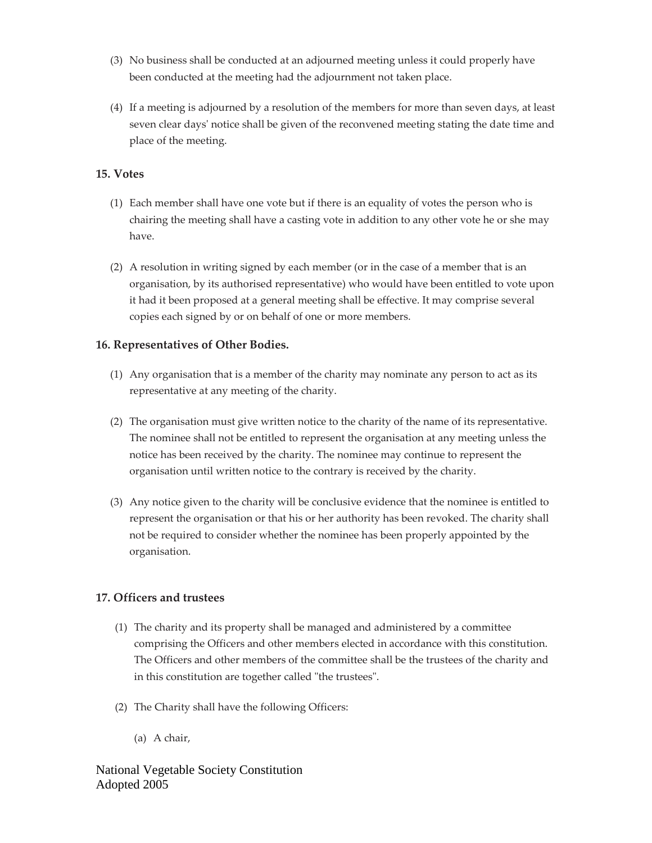- (3) No business shall be conducted at an adjourned meeting unless it could properly have been conducted at the meeting had the adjournment not taken place.
- (4) If a meeting is adjourned by a resolution of the members for more than seven days, at least seven clear days' notice shall be given of the reconvened meeting stating the date time and place of the meeting.

## **15. Votes**

- (1) Each member shall have one vote but if there is an equality of votes the person who is chairing the meeting shall have a casting vote in addition to any other vote he or she may have.
- (2) A resolution in writing signed by each member (or in the case of a member that is an organisation, by its authorised representative) who would have been entitled to vote upon it had it been proposed at a general meeting shall be effective. It may comprise several copies each signed by or on behalf of one or more members.

## **16. Representatives of Other Bodies.**

- (1) Any organisation that is a member of the charity may nominate any person to act as its representative at any meeting of the charity.
- (2) The organisation must give written notice to the charity of the name of its representative. The nominee shall not be entitled to represent the organisation at any meeting unless the notice has been received by the charity. The nominee may continue to represent the organisation until written notice to the contrary is received by the charity.
- (3) Any notice given to the charity will be conclusive evidence that the nominee is entitled to represent the organisation or that his or her authority has been revoked. The charity shall not be required to consider whether the nominee has been properly appointed by the organisation.

## **17. Officers and trustees**

- (1) The charity and its property shall be managed and administered by a committee comprising the Officers and other members elected in accordance with this constitution. The Officers and other members of the committee shall be the trustees of the charity and in this constitution are together called "the trustees".
- (2) The Charity shall have the following Officers:
	- (a) A chair,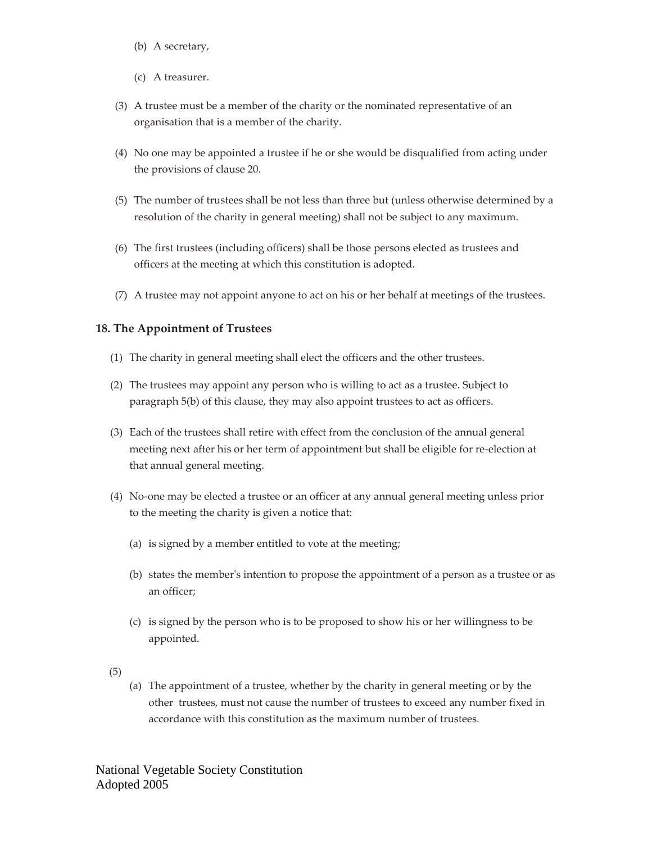- (b) A secretary,
- (c) A treasurer.
- (3) A trustee must be a member of the charity or the nominated representative of an organisation that is a member of the charity.
- (4) No one may be appointed a trustee if he or she would be disqualified from acting under the provisions of clause 20.
- (5) The number of trustees shall be not less than three but (unless otherwise determined by a resolution of the charity in general meeting) shall not be subject to any maximum.
- (6) The first trustees (including officers) shall be those persons elected as trustees and officers at the meeting at which this constitution is adopted.
- (7) A trustee may not appoint anyone to act on his or her behalf at meetings of the trustees.

## **18. The Appointment of Trustees**

- (1) The charity in general meeting shall elect the officers and the other trustees.
- (2) The trustees may appoint any person who is willing to act as a trustee. Subject to paragraph 5(b) of this clause, they may also appoint trustees to act as officers.
- (3) Each of the trustees shall retire with effect from the conclusion of the annual general meeting next after his or her term of appointment but shall be eligible for re-election at that annual general meeting.
- (4) No-one may be elected a trustee or an officer at any annual general meeting unless prior to the meeting the charity is given a notice that:
	- (a) is signed by a member entitled to vote at the meeting;
	- (b) states the member's intention to propose the appointment of a person as a trustee or as an officer;
	- (c) is signed by the person who is to be proposed to show his or her willingness to be appointed.
- (5)
	- (a) The appointment of a trustee, whether by the charity in general meeting or by the other trustees, must not cause the number of trustees to exceed any number fixed in accordance with this constitution as the maximum number of trustees.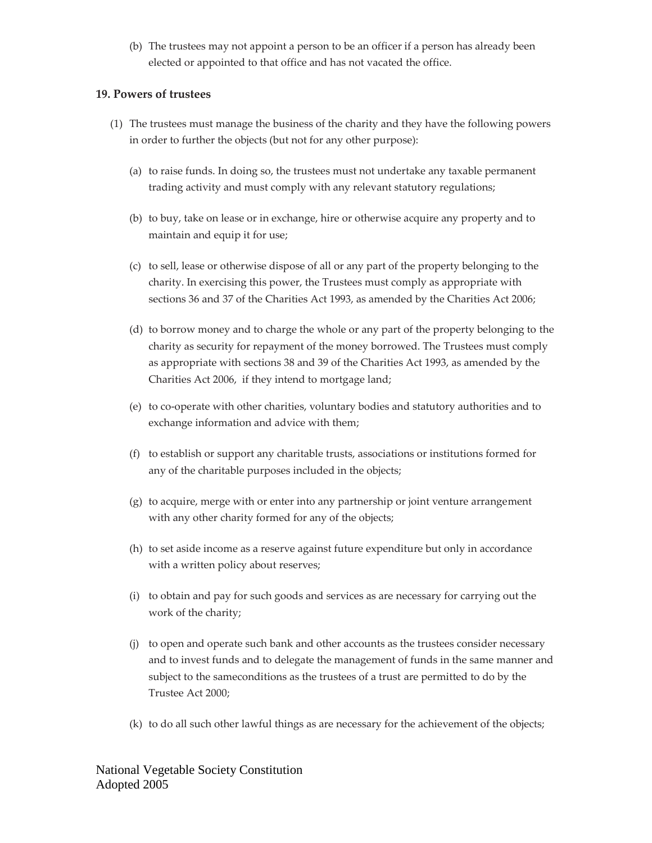(b) The trustees may not appoint a person to be an officer if a person has already been elected or appointed to that office and has not vacated the office.

#### **19. Powers of trustees**

- (1) The trustees must manage the business of the charity and they have the following powers in order to further the objects (but not for any other purpose):
	- (a) to raise funds. In doing so, the trustees must not undertake any taxable permanent trading activity and must comply with any relevant statutory regulations;
	- (b) to buy, take on lease or in exchange, hire or otherwise acquire any property and to maintain and equip it for use;
	- (c) to sell, lease or otherwise dispose of all or any part of the property belonging to the charity. In exercising this power, the Trustees must comply as appropriate with sections 36 and 37 of the Charities Act 1993, as amended by the Charities Act 2006;
	- (d) to borrow money and to charge the whole or any part of the property belonging to the charity as security for repayment of the money borrowed. The Trustees must comply as appropriate with sections 38 and 39 of the Charities Act 1993, as amended by the Charities Act 2006, if they intend to mortgage land;
	- (e) to co-operate with other charities, voluntary bodies and statutory authorities and to exchange information and advice with them;
	- (f) to establish or support any charitable trusts, associations or institutions formed for any of the charitable purposes included in the objects;
	- (g) to acquire, merge with or enter into any partnership or joint venture arrangement with any other charity formed for any of the objects;
	- (h) to set aside income as a reserve against future expenditure but only in accordance with a written policy about reserves;
	- (i) to obtain and pay for such goods and services as are necessary for carrying out the work of the charity;
	- (j) to open and operate such bank and other accounts as the trustees consider necessary and to invest funds and to delegate the management of funds in the same manner and subject to the sameconditions as the trustees of a trust are permitted to do by the Trustee Act 2000;
	- (k) to do all such other lawful things as are necessary for the achievement of the objects;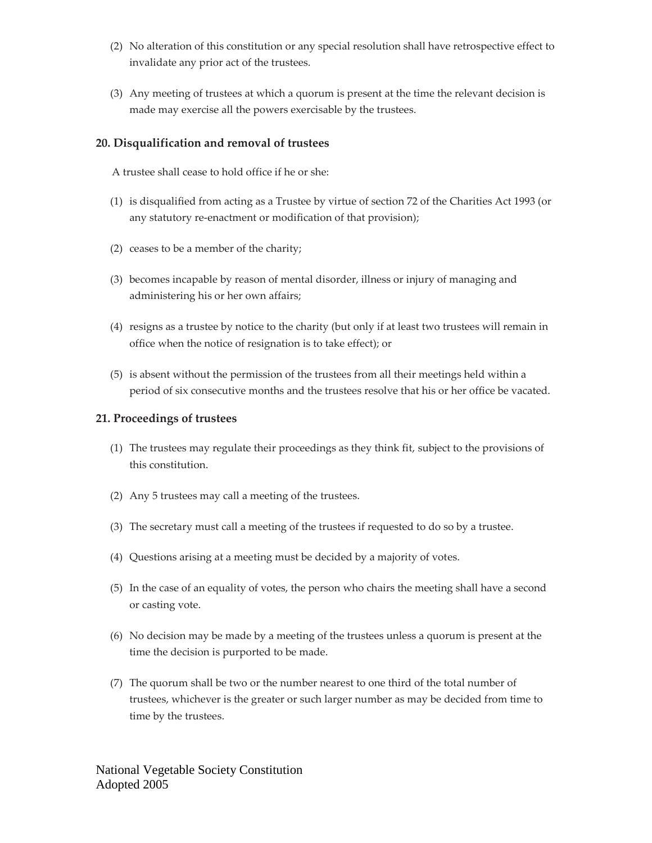- (2) No alteration of this constitution or any special resolution shall have retrospective effect to invalidate any prior act of the trustees.
- (3) Any meeting of trustees at which a quorum is present at the time the relevant decision is made may exercise all the powers exercisable by the trustees.

## **20. Disqualification and removal of trustees**

A trustee shall cease to hold office if he or she:

- (1) is disqualified from acting as a Trustee by virtue of section 72 of the Charities Act 1993 (or any statutory re-enactment or modification of that provision);
- (2) ceases to be a member of the charity;
- (3) becomes incapable by reason of mental disorder, illness or injury of managing and administering his or her own affairs;
- (4) resigns as a trustee by notice to the charity (but only if at least two trustees will remain in office when the notice of resignation is to take effect); or
- (5) is absent without the permission of the trustees from all their meetings held within a period of six consecutive months and the trustees resolve that his or her office be vacated.

#### **21. Proceedings of trustees**

- (1) The trustees may regulate their proceedings as they think fit, subject to the provisions of this constitution.
- (2) Any 5 trustees may call a meeting of the trustees.
- (3) The secretary must call a meeting of the trustees if requested to do so by a trustee.
- (4) Questions arising at a meeting must be decided by a majority of votes.
- (5) In the case of an equality of votes, the person who chairs the meeting shall have a second or casting vote.
- (6) No decision may be made by a meeting of the trustees unless a quorum is present at the time the decision is purported to be made.
- (7) The quorum shall be two or the number nearest to one third of the total number of trustees, whichever is the greater or such larger number as may be decided from time to time by the trustees.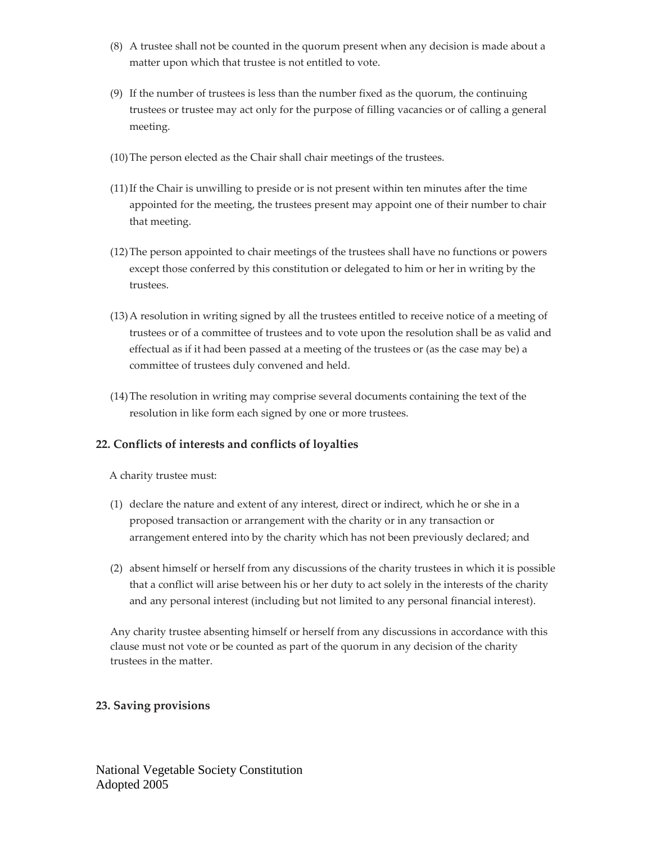- (8) A trustee shall not be counted in the quorum present when any decision is made about a matter upon which that trustee is not entitled to vote.
- (9) If the number of trustees is less than the number fixed as the quorum, the continuing trustees or trustee may act only for the purpose of filling vacancies or of calling a general meeting.
- (10)The person elected as the Chair shall chair meetings of the trustees.
- (11)If the Chair is unwilling to preside or is not present within ten minutes after the time appointed for the meeting, the trustees present may appoint one of their number to chair that meeting.
- (12)The person appointed to chair meetings of the trustees shall have no functions or powers except those conferred by this constitution or delegated to him or her in writing by the trustees.
- (13)A resolution in writing signed by all the trustees entitled to receive notice of a meeting of trustees or of a committee of trustees and to vote upon the resolution shall be as valid and effectual as if it had been passed at a meeting of the trustees or (as the case may be) a committee of trustees duly convened and held.
- (14)The resolution in writing may comprise several documents containing the text of the resolution in like form each signed by one or more trustees.

# **22. Conflicts of interests and conflicts of loyalties**

A charity trustee must:

- (1) declare the nature and extent of any interest, direct or indirect, which he or she in a proposed transaction or arrangement with the charity or in any transaction or arrangement entered into by the charity which has not been previously declared; and
- (2) absent himself or herself from any discussions of the charity trustees in which it is possible that a conflict will arise between his or her duty to act solely in the interests of the charity and any personal interest (including but not limited to any personal financial interest).

Any charity trustee absenting himself or herself from any discussions in accordance with this clause must not vote or be counted as part of the quorum in any decision of the charity trustees in the matter.

# **23. Saving provisions**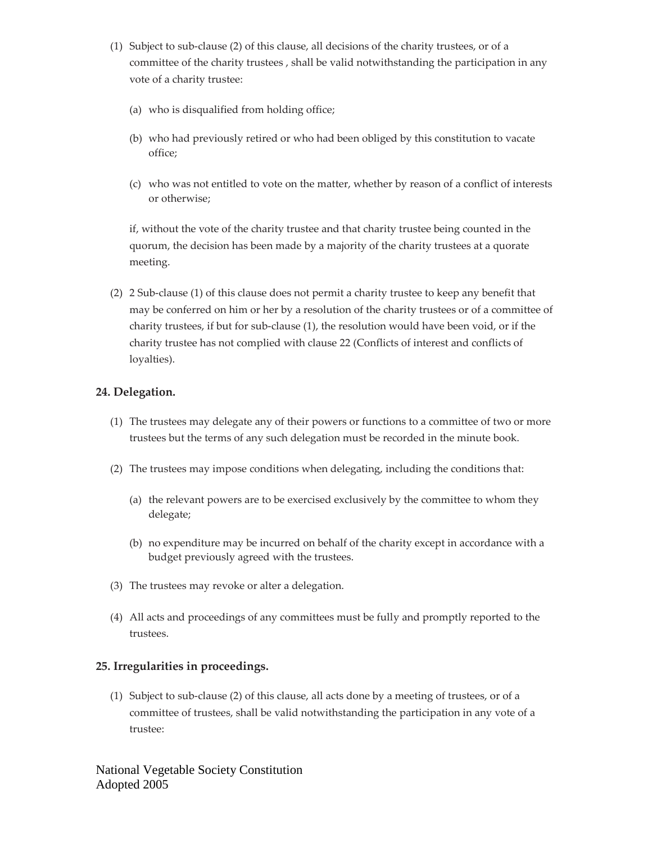- (1) Subject to sub-clause (2) of this clause, all decisions of the charity trustees, or of a committee of the charity trustees , shall be valid notwithstanding the participation in any vote of a charity trustee:
	- (a) who is disqualified from holding office;
	- (b) who had previously retired or who had been obliged by this constitution to vacate office;
	- (c) who was not entitled to vote on the matter, whether by reason of a conflict of interests or otherwise;

if, without the vote of the charity trustee and that charity trustee being counted in the quorum, the decision has been made by a majority of the charity trustees at a quorate meeting.

(2) 2 Sub-clause (1) of this clause does not permit a charity trustee to keep any benefit that may be conferred on him or her by a resolution of the charity trustees or of a committee of charity trustees, if but for sub-clause (1), the resolution would have been void, or if the charity trustee has not complied with clause 22 (Conflicts of interest and conflicts of loyalties).

## **24. Delegation.**

- (1) The trustees may delegate any of their powers or functions to a committee of two or more trustees but the terms of any such delegation must be recorded in the minute book.
- (2) The trustees may impose conditions when delegating, including the conditions that:
	- (a) the relevant powers are to be exercised exclusively by the committee to whom they delegate;
	- (b) no expenditure may be incurred on behalf of the charity except in accordance with a budget previously agreed with the trustees.
- (3) The trustees may revoke or alter a delegation.
- (4) All acts and proceedings of any committees must be fully and promptly reported to the trustees.

## **25. Irregularities in proceedings.**

(1) Subject to sub-clause (2) of this clause, all acts done by a meeting of trustees, or of a committee of trustees, shall be valid notwithstanding the participation in any vote of a trustee: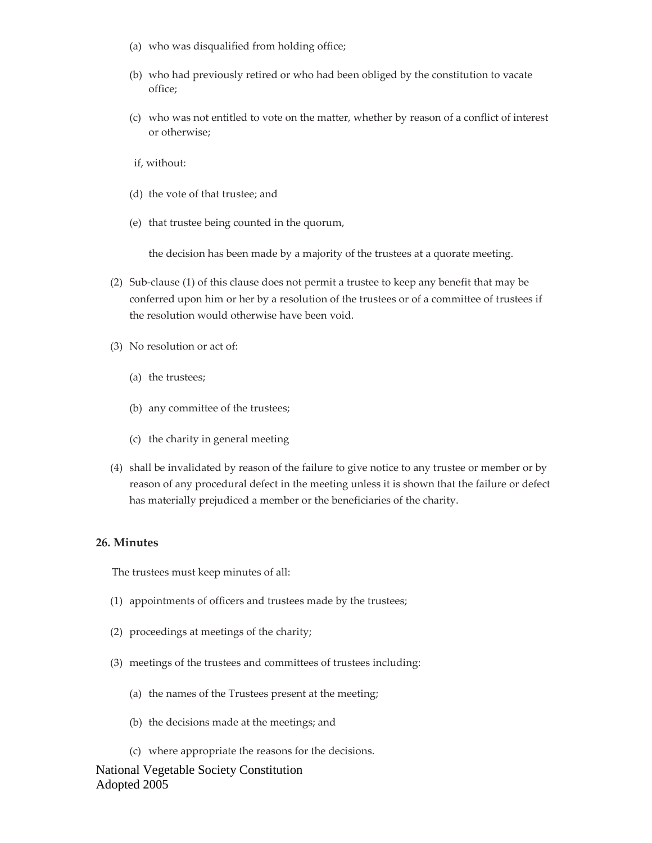- (a) who was disqualified from holding office;
- (b) who had previously retired or who had been obliged by the constitution to vacate office;
- (c) who was not entitled to vote on the matter, whether by reason of a conflict of interest or otherwise;
- if, without:
- (d) the vote of that trustee; and
- (e) that trustee being counted in the quorum,

the decision has been made by a majority of the trustees at a quorate meeting.

- (2) Sub-clause (1) of this clause does not permit a trustee to keep any benefit that may be conferred upon him or her by a resolution of the trustees or of a committee of trustees if the resolution would otherwise have been void.
- (3) No resolution or act of:
	- (a) the trustees;
	- (b) any committee of the trustees;
	- (c) the charity in general meeting
- (4) shall be invalidated by reason of the failure to give notice to any trustee or member or by reason of any procedural defect in the meeting unless it is shown that the failure or defect has materially prejudiced a member or the beneficiaries of the charity.

#### **26. Minutes**

The trustees must keep minutes of all:

- (1) appointments of officers and trustees made by the trustees;
- (2) proceedings at meetings of the charity;
- (3) meetings of the trustees and committees of trustees including:
	- (a) the names of the Trustees present at the meeting;
	- (b) the decisions made at the meetings; and
	- (c) where appropriate the reasons for the decisions.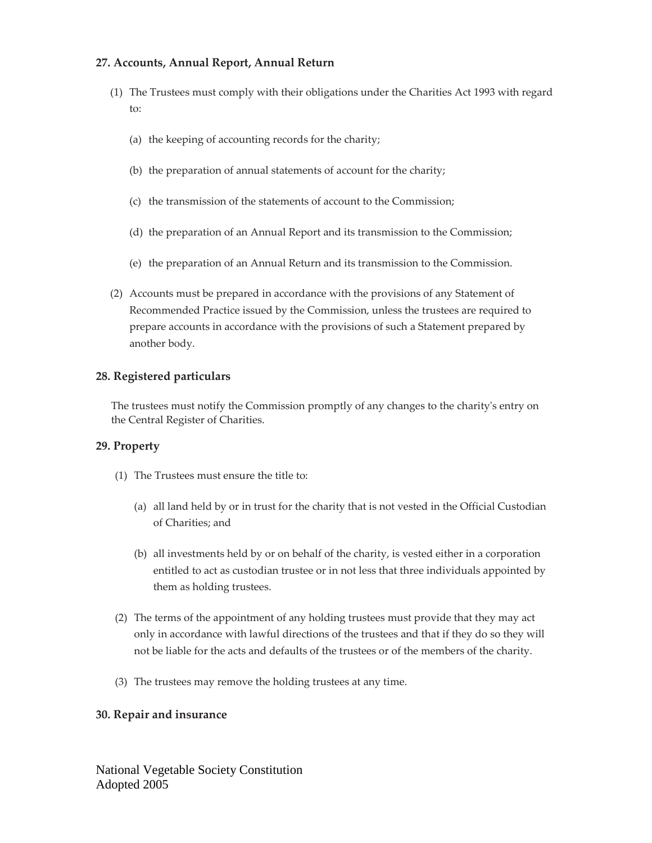## **27. Accounts, Annual Report, Annual Return**

- (1) The Trustees must comply with their obligations under the Charities Act 1993 with regard to:
	- (a) the keeping of accounting records for the charity;
	- (b) the preparation of annual statements of account for the charity;
	- (c) the transmission of the statements of account to the Commission;
	- (d) the preparation of an Annual Report and its transmission to the Commission;
	- (e) the preparation of an Annual Return and its transmission to the Commission.
- (2) Accounts must be prepared in accordance with the provisions of any Statement of Recommended Practice issued by the Commission, unless the trustees are required to prepare accounts in accordance with the provisions of such a Statement prepared by another body.

#### **28. Registered particulars**

The trustees must notify the Commission promptly of any changes to the charity's entry on the Central Register of Charities.

#### **29. Property**

- (1) The Trustees must ensure the title to:
	- (a) all land held by or in trust for the charity that is not vested in the Official Custodian of Charities; and
	- (b) all investments held by or on behalf of the charity, is vested either in a corporation entitled to act as custodian trustee or in not less that three individuals appointed by them as holding trustees.
- (2) The terms of the appointment of any holding trustees must provide that they may act only in accordance with lawful directions of the trustees and that if they do so they will not be liable for the acts and defaults of the trustees or of the members of the charity.
- (3) The trustees may remove the holding trustees at any time.

#### **30. Repair and insurance**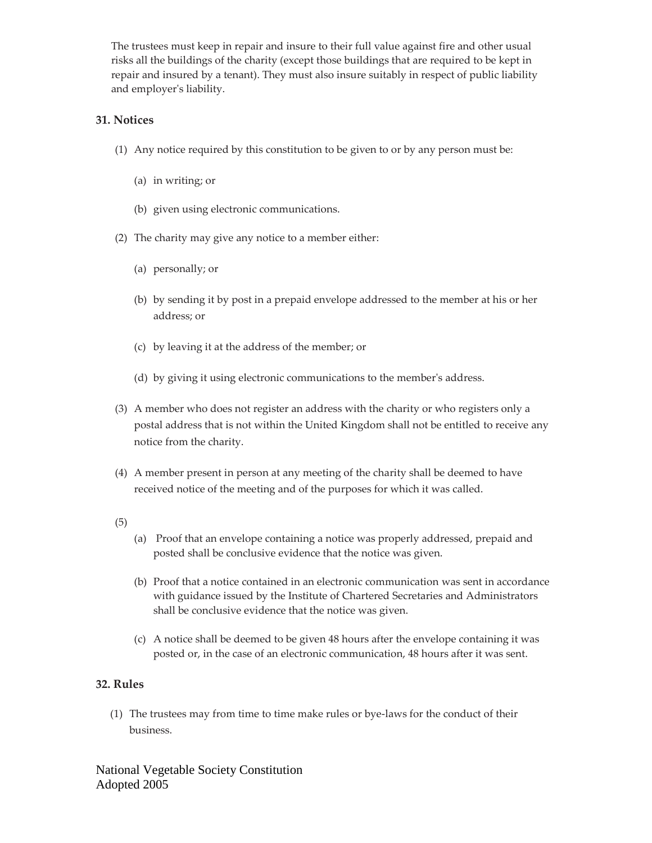The trustees must keep in repair and insure to their full value against fire and other usual risks all the buildings of the charity (except those buildings that are required to be kept in repair and insured by a tenant). They must also insure suitably in respect of public liability and employer's liability.

## **31. Notices**

- (1) Any notice required by this constitution to be given to or by any person must be:
	- (a) in writing; or
	- (b) given using electronic communications.
- (2) The charity may give any notice to a member either:
	- (a) personally; or
	- (b) by sending it by post in a prepaid envelope addressed to the member at his or her address; or
	- (c) by leaving it at the address of the member; or
	- (d) by giving it using electronic communications to the member's address.
- (3) A member who does not register an address with the charity or who registers only a postal address that is not within the United Kingdom shall not be entitled to receive any notice from the charity.
- (4) A member present in person at any meeting of the charity shall be deemed to have received notice of the meeting and of the purposes for which it was called.
- (5)
- (a) Proof that an envelope containing a notice was properly addressed, prepaid and posted shall be conclusive evidence that the notice was given.
- (b) Proof that a notice contained in an electronic communication was sent in accordance with guidance issued by the Institute of Chartered Secretaries and Administrators shall be conclusive evidence that the notice was given.
- (c) A notice shall be deemed to be given 48 hours after the envelope containing it was posted or, in the case of an electronic communication, 48 hours after it was sent.

## **32. Rules**

(1) The trustees may from time to time make rules or bye-laws for the conduct of their business.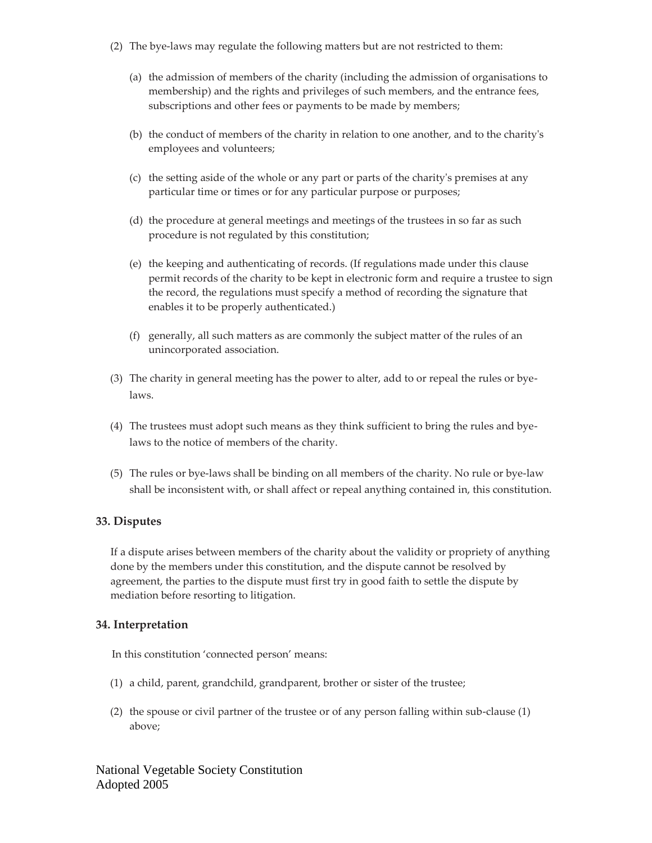- (2) The bye-laws may regulate the following matters but are not restricted to them:
	- (a) the admission of members of the charity (including the admission of organisations to membership) and the rights and privileges of such members, and the entrance fees, subscriptions and other fees or payments to be made by members;
	- (b) the conduct of members of the charity in relation to one another, and to the charity's employees and volunteers;
	- (c) the setting aside of the whole or any part or parts of the charity's premises at any particular time or times or for any particular purpose or purposes;
	- (d) the procedure at general meetings and meetings of the trustees in so far as such procedure is not regulated by this constitution;
	- (e) the keeping and authenticating of records. (If regulations made under this clause permit records of the charity to be kept in electronic form and require a trustee to sign the record, the regulations must specify a method of recording the signature that enables it to be properly authenticated.)
	- (f) generally, all such matters as are commonly the subject matter of the rules of an unincorporated association.
- (3) The charity in general meeting has the power to alter, add to or repeal the rules or byelaws.
- (4) The trustees must adopt such means as they think sufficient to bring the rules and byelaws to the notice of members of the charity.
- (5) The rules or bye-laws shall be binding on all members of the charity. No rule or bye-law shall be inconsistent with, or shall affect or repeal anything contained in, this constitution.

#### **33. Disputes**

If a dispute arises between members of the charity about the validity or propriety of anything done by the members under this constitution, and the dispute cannot be resolved by agreement, the parties to the dispute must first try in good faith to settle the dispute by mediation before resorting to litigation.

#### **34. Interpretation**

In this constitution 'connected person' means:

- (1) a child, parent, grandchild, grandparent, brother or sister of the trustee;
- (2) the spouse or civil partner of the trustee or of any person falling within sub-clause (1) above;